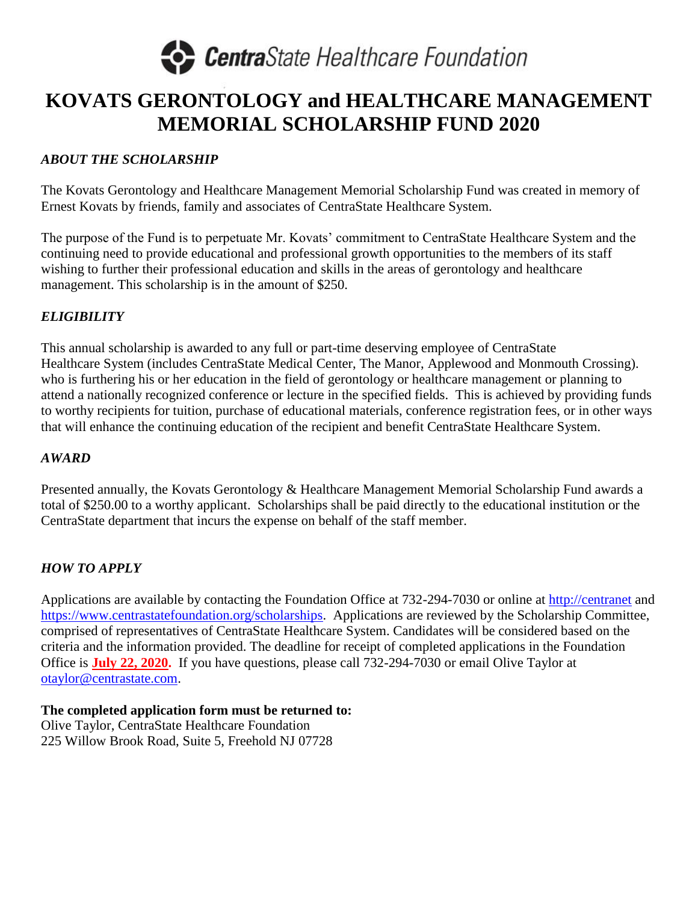

### **KOVATS GERONTOLOGY and HEALTHCARE MANAGEMENT MEMORIAL SCHOLARSHIP FUND 2020**

#### *ABOUT THE SCHOLARSHIP*

The Kovats Gerontology and Healthcare Management Memorial Scholarship Fund was created in memory of Ernest Kovats by friends, family and associates of CentraState Healthcare System.

The purpose of the Fund is to perpetuate Mr. Kovats' commitment to CentraState Healthcare System and the continuing need to provide educational and professional growth opportunities to the members of its staff wishing to further their professional education and skills in the areas of gerontology and healthcare management. This scholarship is in the amount of \$250.

#### *ELIGIBILITY*

This annual scholarship is awarded to any full or part-time deserving employee of CentraState Healthcare System (includes CentraState Medical Center, The Manor, Applewood and Monmouth Crossing). who is furthering his or her education in the field of gerontology or healthcare management or planning to attend a nationally recognized conference or lecture in the specified fields. This is achieved by providing funds to worthy recipients for tuition, purchase of educational materials, conference registration fees, or in other ways that will enhance the continuing education of the recipient and benefit CentraState Healthcare System.

#### *AWARD*

Presented annually, the Kovats Gerontology & Healthcare Management Memorial Scholarship Fund awards a total of \$250.00 to a worthy applicant. Scholarships shall be paid directly to the educational institution or the CentraState department that incurs the expense on behalf of the staff member.

#### *HOW TO APPLY*

Applications are available by contacting the Foundation Office at 732-294-7030 or online at [http://centranet](http://centranet/) and [https://www.centrastatefoundation.org/scholarships.](https://www.centrastatefoundation.org/scholarships) Applications are reviewed by the Scholarship Committee, comprised of representatives of CentraState Healthcare System. Candidates will be considered based on the criteria and the information provided. The deadline for receipt of completed applications in the Foundation Office is **July 22, 2020.** If you have questions, please call 732-294-7030 or email Olive Taylor at [otaylor@centrastate.com.](mailto:otaylor@centrastate.com)

**The completed application form must be returned to:**  Olive Taylor, CentraState Healthcare Foundation 225 Willow Brook Road, Suite 5, Freehold NJ 07728